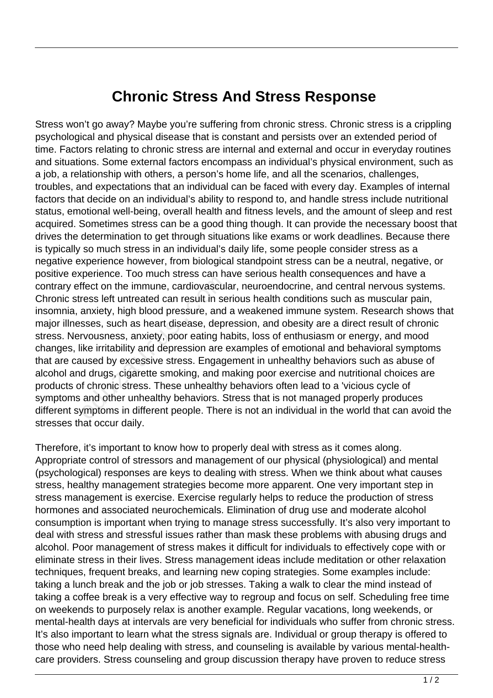## **Chronic Stress And Stress Response**

Stress won't go away? Maybe you're suffering from chronic stress. Chronic stress is a crippling psychological and physical disease that is constant and persists over an extended period of time. Factors relating to chronic stress are internal and external and occur in everyday routines and situations. Some external factors encompass an individual's physical environment, such as a job, a relationship with others, a person's home life, and all the scenarios, challenges, troubles, and expectations that an individual can be faced with every day. Examples of internal factors that decide on an individual's ability to respond to, and handle stress include nutritional status, emotional well-being, overall health and fitness levels, and the amount of sleep and rest acquired. Sometimes stress can be a good thing though. It can provide the necessary boost that drives the determination to get through situations like exams or work deadlines. Because there is typically so much stress in an individual's daily life, some people consider stress as a negative experience however, from biological standpoint stress can be a neutral, negative, or positive experience. Too much stress can have serious health consequences and have a contrary effect on the immune, cardiovascular, neuroendocrine, and central nervous systems. Chronic stress left untreated can result in serious health conditions such as muscular pain, insomnia, anxiety, high blood pressure, and a weakened immune system. Research shows that major illnesses, such as heart disease, depression, and obesity are a direct result of chronic stress. Nervousness, anxiety, poor eating habits, loss of enthusiasm or energy, and mood changes, like irritability and depression are examples of emotional and behavioral symptoms that are caused by excessive stress. Engagement in unhealthy behaviors such as abuse of alcohol and drugs, cigarette smoking, and making poor exercise and nutritional choices are products of chronic stress. These unhealthy behaviors often lead to a 'vicious cycle of symptoms and other unhealthy behaviors. Stress that is not managed properly produces different symptoms in different people. There is not an individual in the world that can avoid the stresses that occur daily. Fect on the immune, cardiovascularess left untreated can result in se<br>anxiety, high blood pressure, and<br>sses, such as heart disease, depr<br>rvousness, anxiety, poor eating ha<br>ike irritability and depression are e<br>used by exc

Therefore, it's important to know how to properly deal with stress as it comes along. Appropriate control of stressors and management of our physical (physiological) and mental (psychological) responses are keys to dealing with stress. When we think about what causes stress, healthy management strategies become more apparent. One very important step in stress management is exercise. Exercise regularly helps to reduce the production of stress hormones and associated neurochemicals. Elimination of drug use and moderate alcohol consumption is important when trying to manage stress successfully. It's also very important to deal with stress and stressful issues rather than mask these problems with abusing drugs and alcohol. Poor management of stress makes it difficult for individuals to effectively cope with or eliminate stress in their lives. Stress management ideas include meditation or other relaxation techniques, frequent breaks, and learning new coping strategies. Some examples include: taking a lunch break and the job or job stresses. Taking a walk to clear the mind instead of taking a coffee break is a very effective way to regroup and focus on self. Scheduling free time on weekends to purposely relax is another example. Regular vacations, long weekends, or mental-health days at intervals are very beneficial for individuals who suffer from chronic stress. It's also important to learn what the stress signals are. Individual or group therapy is offered to those who need help dealing with stress, and counseling is available by various mental-healthcare providers. Stress counseling and group discussion therapy have proven to reduce stress